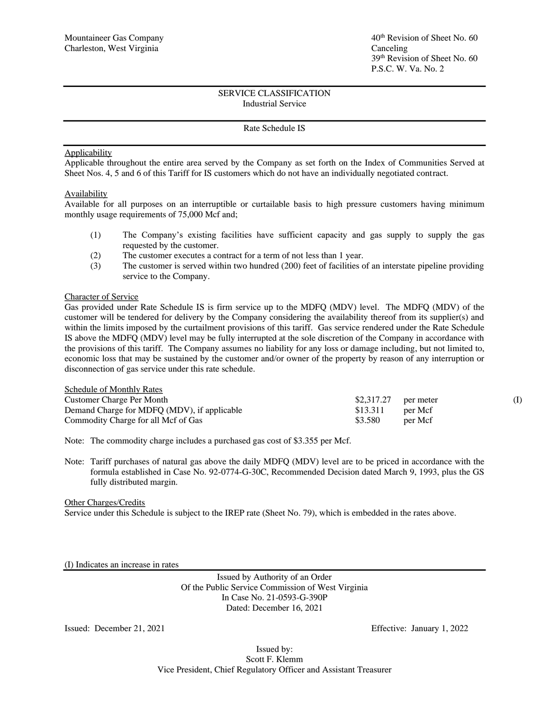## Rate Schedule IS

## **Applicability**

Applicable throughout the entire area served by the Company as set forth on the Index of Communities Served at Sheet Nos. 4, 5 and 6 of this Tariff for IS customers which do not have an individually negotiated contract.

## Availability

Available for all purposes on an interruptible or curtailable basis to high pressure customers having minimum monthly usage requirements of 75,000 Mcf and;

- (1) The Company's existing facilities have sufficient capacity and gas supply to supply the gas requested by the customer.
- (2) The customer executes a contract for a term of not less than 1 year.
- (3) The customer is served within two hundred (200) feet of facilities of an interstate pipeline providing service to the Company.

#### Character of Service

Gas provided under Rate Schedule IS is firm service up to the MDFQ (MDV) level. The MDFQ (MDV) of the customer will be tendered for delivery by the Company considering the availability thereof from its supplier(s) and within the limits imposed by the curtailment provisions of this tariff. Gas service rendered under the Rate Schedule IS above the MDFQ (MDV) level may be fully interrupted at the sole discretion of the Company in accordance with the provisions of this tariff. The Company assumes no liability for any loss or damage including, but not limited to, economic loss that may be sustained by the customer and/or owner of the property by reason of any interruption or disconnection of gas service under this rate schedule.

| <b>Schedule of Monthly Rates</b>            |                       |         |  |
|---------------------------------------------|-----------------------|---------|--|
| Customer Charge Per Month                   | $$2,317.27$ per meter |         |  |
| Demand Charge for MDFQ (MDV), if applicable | \$13.311              | per Mcf |  |
| Commodity Charge for all Mcf of Gas         | \$3.580               | per Mcf |  |

Note: The commodity charge includes a purchased gas cost of \$3.355 per Mcf.

Note: Tariff purchases of natural gas above the daily MDFQ (MDV) level are to be priced in accordance with the formula established in Case No. 92-0774-G-30C, Recommended Decision dated March 9, 1993, plus the GS fully distributed margin.

#### Other Charges/Credits

Service under this Schedule is subject to the IREP rate (Sheet No. 79), which is embedded in the rates above.

(I) Indicates an increase in rates

Issued by Authority of an Order Of the Public Service Commission of West Virginia In Case No. 21-0593-G-390P Dated: December 16, 2021

Issued: December 21, 2021 Effective: January 1, 2022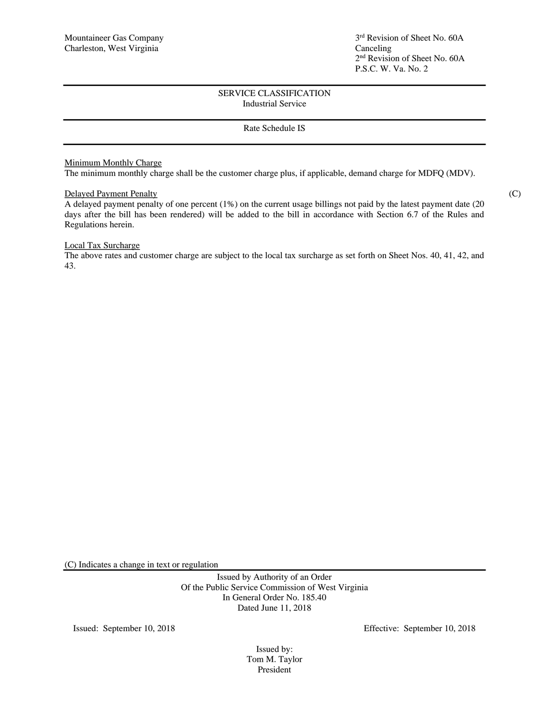# Rate Schedule IS

## Minimum Monthly Charge

The minimum monthly charge shall be the customer charge plus, if applicable, demand charge for MDFQ (MDV).

## Delayed Payment Penalty (C)

A delayed payment penalty of one percent (1%) on the current usage billings not paid by the latest payment date (20 days after the bill has been rendered) will be added to the bill in accordance with Section 6.7 of the Rules and Regulations herein.

## Local Tax Surcharge

The above rates and customer charge are subject to the local tax surcharge as set forth on Sheet Nos. 40, 41, 42, and 43.

(C) Indicates a change in text or regulation

Issued by Authority of an Order Of the Public Service Commission of West Virginia In General Order No. 185.40 Dated June 11, 2018

Issued: September 10, 2018 Effective: September 10, 2018

Issued by: Tom M. Taylor President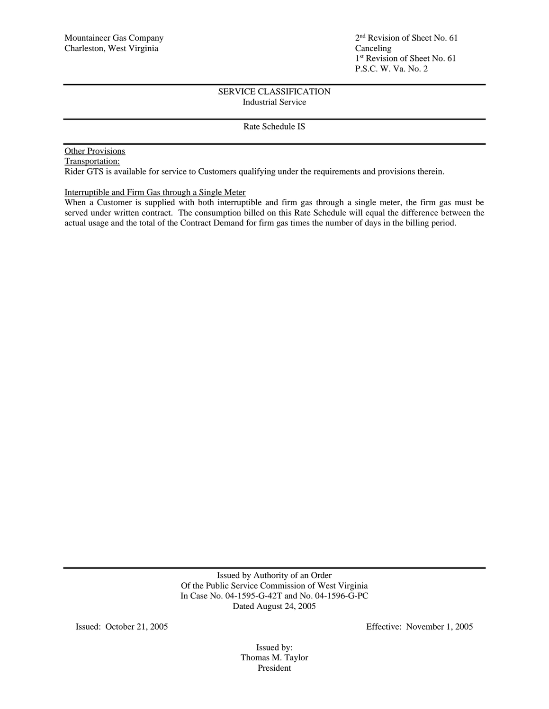Rate Schedule IS

# Other Provisions

Transportation: Rider GTS is available for service to Customers qualifying under the requirements and provisions therein.

Interruptible and Firm Gas through a Single Meter

When a Customer is supplied with both interruptible and firm gas through a single meter, the firm gas must be served under written contract. The consumption billed on this Rate Schedule will equal the difference between the actual usage and the total of the Contract Demand for firm gas times the number of days in the billing period.

> Issued by Authority of an Order Of the Public Service Commission of West Virginia In Case No. 04-1595-G-42T and No. 04-1596-G-PC Dated August 24, 2005

Issued: October 21, 2005 Effective: November 1, 2005

Issued by: Thomas M. Taylor President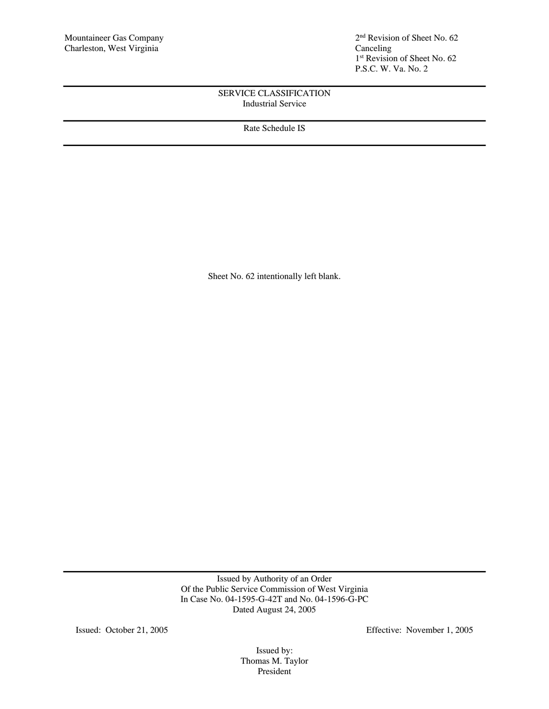2<sup>nd</sup> Revision of Sheet No. 62 1 st Revision of Sheet No. 62 P.S.C. W. Va. No. 2

# SERVICE CLASSIFICATION Industrial Service

Rate Schedule IS

Sheet No. 62 intentionally left blank.

Issued by Authority of an Order Of the Public Service Commission of West Virginia In Case No. 04-1595-G-42T and No. 04-1596-G-PC Dated August 24, 2005

Issued: October 21, 2005 Effective: November 1, 2005

Issued by: Thomas M. Taylor President